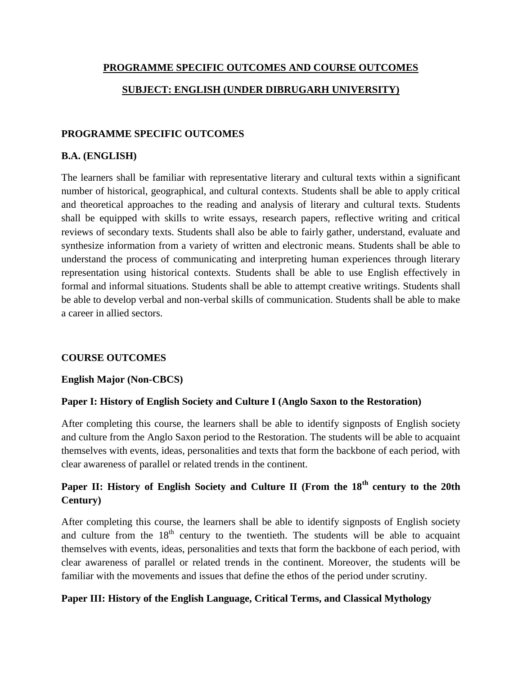# **PROGRAMME SPECIFIC OUTCOMES AND COURSE OUTCOMES SUBJECT: ENGLISH (UNDER DIBRUGARH UNIVERSITY)**

### **PROGRAMME SPECIFIC OUTCOMES**

### **B.A. (ENGLISH)**

The learners shall be familiar with representative literary and cultural texts within a significant number of historical, geographical, and cultural contexts. Students shall be able to apply critical and theoretical approaches to the reading and analysis of literary and cultural texts. Students shall be equipped with skills to write essays, research papers, reflective writing and critical reviews of secondary texts. Students shall also be able to fairly gather, understand, evaluate and synthesize information from a variety of written and electronic means. Students shall be able to understand the process of communicating and interpreting human experiences through literary representation using historical contexts. Students shall be able to use English effectively in formal and informal situations. Students shall be able to attempt creative writings. Students shall be able to develop verbal and non-verbal skills of communication. Students shall be able to make a career in allied sectors.

### **COURSE OUTCOMES**

### **English Major (Non-CBCS)**

### **Paper I: History of English Society and Culture I (Anglo Saxon to the Restoration)**

After completing this course, the learners shall be able to identify signposts of English society and culture from the Anglo Saxon period to the Restoration. The students will be able to acquaint themselves with events, ideas, personalities and texts that form the backbone of each period, with clear awareness of parallel or related trends in the continent.

## **Paper II: History of English Society and Culture II (From the 18th century to the 20th Century)**

After completing this course, the learners shall be able to identify signposts of English society and culture from the  $18<sup>th</sup>$  century to the twentieth. The students will be able to acquaint themselves with events, ideas, personalities and texts that form the backbone of each period, with clear awareness of parallel or related trends in the continent. Moreover, the students will be familiar with the movements and issues that define the ethos of the period under scrutiny.

### **Paper III: History of the English Language, Critical Terms, and Classical Mythology**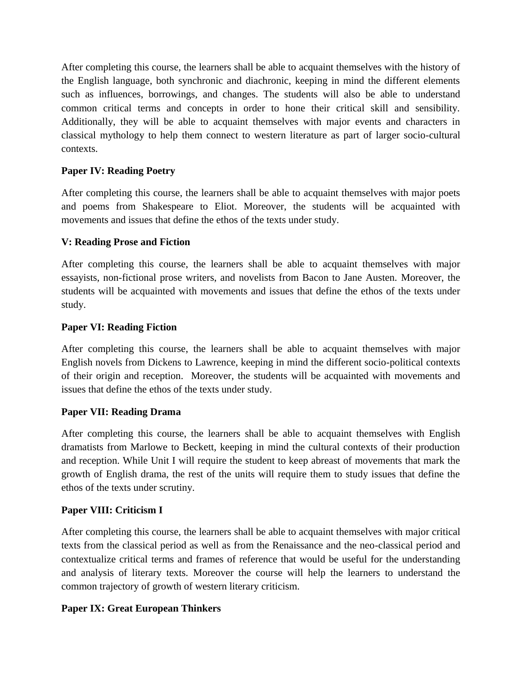After completing this course, the learners shall be able to acquaint themselves with the history of the English language, both synchronic and diachronic, keeping in mind the different elements such as influences, borrowings, and changes. The students will also be able to understand common critical terms and concepts in order to hone their critical skill and sensibility. Additionally, they will be able to acquaint themselves with major events and characters in classical mythology to help them connect to western literature as part of larger socio-cultural contexts.

### **Paper IV: Reading Poetry**

After completing this course, the learners shall be able to acquaint themselves with major poets and poems from Shakespeare to Eliot. Moreover, the students will be acquainted with movements and issues that define the ethos of the texts under study.

### **V: Reading Prose and Fiction**

After completing this course, the learners shall be able to acquaint themselves with major essayists, non-fictional prose writers, and novelists from Bacon to Jane Austen. Moreover, the students will be acquainted with movements and issues that define the ethos of the texts under study.

### **Paper VI: Reading Fiction**

After completing this course, the learners shall be able to acquaint themselves with major English novels from Dickens to Lawrence, keeping in mind the different socio-political contexts of their origin and reception. Moreover, the students will be acquainted with movements and issues that define the ethos of the texts under study.

### **Paper VII: Reading Drama**

After completing this course, the learners shall be able to acquaint themselves with English dramatists from Marlowe to Beckett, keeping in mind the cultural contexts of their production and reception. While Unit I will require the student to keep abreast of movements that mark the growth of English drama, the rest of the units will require them to study issues that define the ethos of the texts under scrutiny.

### **Paper VIII: Criticism I**

After completing this course, the learners shall be able to acquaint themselves with major critical texts from the classical period as well as from the Renaissance and the neo-classical period and contextualize critical terms and frames of reference that would be useful for the understanding and analysis of literary texts. Moreover the course will help the learners to understand the common trajectory of growth of western literary criticism.

### **Paper IX: Great European Thinkers**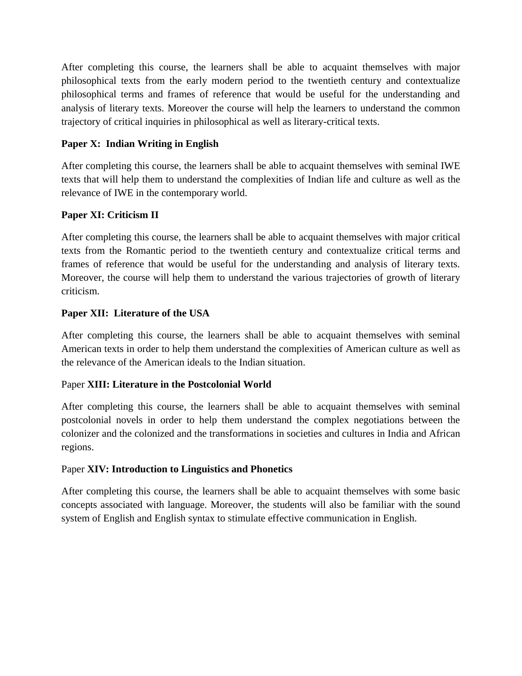After completing this course, the learners shall be able to acquaint themselves with major philosophical texts from the early modern period to the twentieth century and contextualize philosophical terms and frames of reference that would be useful for the understanding and analysis of literary texts. Moreover the course will help the learners to understand the common trajectory of critical inquiries in philosophical as well as literary-critical texts.

### **Paper X: Indian Writing in English**

After completing this course, the learners shall be able to acquaint themselves with seminal IWE texts that will help them to understand the complexities of Indian life and culture as well as the relevance of IWE in the contemporary world.

### **Paper XI: Criticism II**

After completing this course, the learners shall be able to acquaint themselves with major critical texts from the Romantic period to the twentieth century and contextualize critical terms and frames of reference that would be useful for the understanding and analysis of literary texts. Moreover, the course will help them to understand the various trajectories of growth of literary criticism.

### **Paper XII: Literature of the USA**

After completing this course, the learners shall be able to acquaint themselves with seminal American texts in order to help them understand the complexities of American culture as well as the relevance of the American ideals to the Indian situation.

### Paper **XIII: Literature in the Postcolonial World**

After completing this course, the learners shall be able to acquaint themselves with seminal postcolonial novels in order to help them understand the complex negotiations between the colonizer and the colonized and the transformations in societies and cultures in India and African regions.

### Paper **XIV: Introduction to Linguistics and Phonetics**

After completing this course, the learners shall be able to acquaint themselves with some basic concepts associated with language. Moreover, the students will also be familiar with the sound system of English and English syntax to stimulate effective communication in English.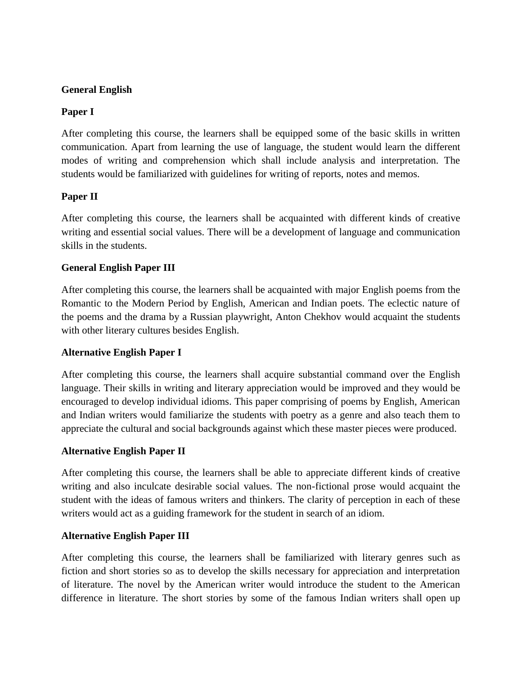### **General English**

### **Paper I**

After completing this course, the learners shall be equipped some of the basic skills in written communication. Apart from learning the use of language, the student would learn the different modes of writing and comprehension which shall include analysis and interpretation. The students would be familiarized with guidelines for writing of reports, notes and memos.

### **Paper II**

After completing this course, the learners shall be acquainted with different kinds of creative writing and essential social values. There will be a development of language and communication skills in the students.

### **General English Paper III**

After completing this course, the learners shall be acquainted with major English poems from the Romantic to the Modern Period by English, American and Indian poets. The eclectic nature of the poems and the drama by a Russian playwright, Anton Chekhov would acquaint the students with other literary cultures besides English.

### **Alternative English Paper I**

After completing this course, the learners shall acquire substantial command over the English language. Their skills in writing and literary appreciation would be improved and they would be encouraged to develop individual idioms. This paper comprising of poems by English, American and Indian writers would familiarize the students with poetry as a genre and also teach them to appreciate the cultural and social backgrounds against which these master pieces were produced.

### **Alternative English Paper II**

After completing this course, the learners shall be able to appreciate different kinds of creative writing and also inculcate desirable social values. The non-fictional prose would acquaint the student with the ideas of famous writers and thinkers. The clarity of perception in each of these writers would act as a guiding framework for the student in search of an idiom.

### **Alternative English Paper III**

After completing this course, the learners shall be familiarized with literary genres such as fiction and short stories so as to develop the skills necessary for appreciation and interpretation of literature. The novel by the American writer would introduce the student to the American difference in literature. The short stories by some of the famous Indian writers shall open up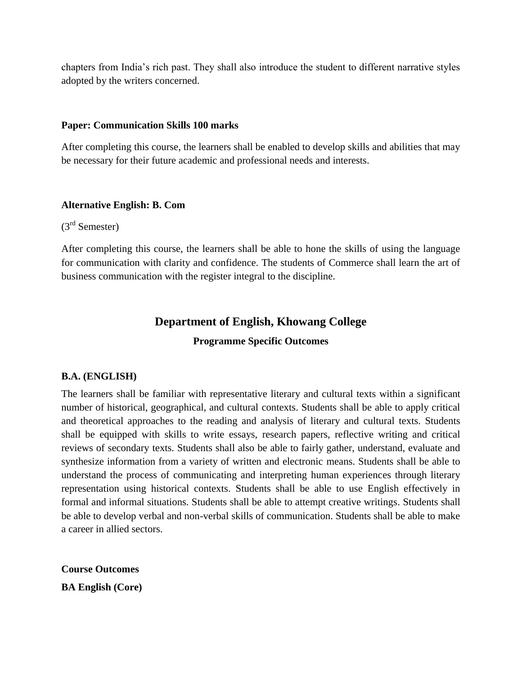chapters from India"s rich past. They shall also introduce the student to different narrative styles adopted by the writers concerned.

#### **Paper: Communication Skills 100 marks**

After completing this course, the learners shall be enabled to develop skills and abilities that may be necessary for their future academic and professional needs and interests.

### **Alternative English: B. Com**

(3rd Semester)

After completing this course, the learners shall be able to hone the skills of using the language for communication with clarity and confidence. The students of Commerce shall learn the art of business communication with the register integral to the discipline.

### **Department of English, Khowang College**

### **Programme Specific Outcomes**

### **B.A. (ENGLISH)**

The learners shall be familiar with representative literary and cultural texts within a significant number of historical, geographical, and cultural contexts. Students shall be able to apply critical and theoretical approaches to the reading and analysis of literary and cultural texts. Students shall be equipped with skills to write essays, research papers, reflective writing and critical reviews of secondary texts. Students shall also be able to fairly gather, understand, evaluate and synthesize information from a variety of written and electronic means. Students shall be able to understand the process of communicating and interpreting human experiences through literary representation using historical contexts. Students shall be able to use English effectively in formal and informal situations. Students shall be able to attempt creative writings. Students shall be able to develop verbal and non-verbal skills of communication. Students shall be able to make a career in allied sectors.

**Course Outcomes BA English (Core)**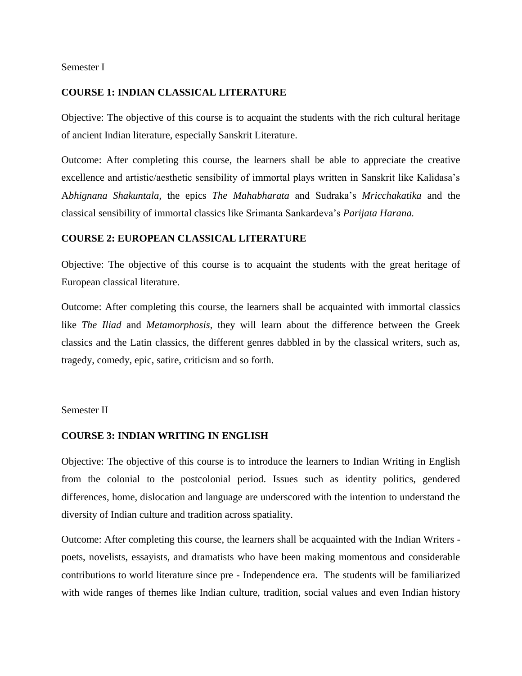Semester I

#### **COURSE 1: INDIAN CLASSICAL LITERATURE**

Objective: The objective of this course is to acquaint the students with the rich cultural heritage of ancient Indian literature, especially Sanskrit Literature.

Outcome: After completing this course, the learners shall be able to appreciate the creative excellence and artistic/aesthetic sensibility of immortal plays written in Sanskrit like Kalidasa"s A*bhignana Shakuntala,* the epics *The Mahabharata* and Sudraka"s *Mricchakatika* and the classical sensibility of immortal classics like Srimanta Sankardeva"s *Parijata Harana.*

#### **COURSE 2: EUROPEAN CLASSICAL LITERATURE**

Objective: The objective of this course is to acquaint the students with the great heritage of European classical literature.

Outcome: After completing this course, the learners shall be acquainted with immortal classics like *The Iliad* and *Metamorphosis*, they will learn about the difference between the Greek classics and the Latin classics, the different genres dabbled in by the classical writers, such as, tragedy, comedy, epic, satire, criticism and so forth.

#### Semester II

### **COURSE 3: INDIAN WRITING IN ENGLISH**

Objective: The objective of this course is to introduce the learners to Indian Writing in English from the colonial to the postcolonial period. Issues such as identity politics, gendered differences, home, dislocation and language are underscored with the intention to understand the diversity of Indian culture and tradition across spatiality.

Outcome: After completing this course, the learners shall be acquainted with the Indian Writers poets, novelists, essayists, and dramatists who have been making momentous and considerable contributions to world literature since pre - Independence era. The students will be familiarized with wide ranges of themes like Indian culture, tradition, social values and even Indian history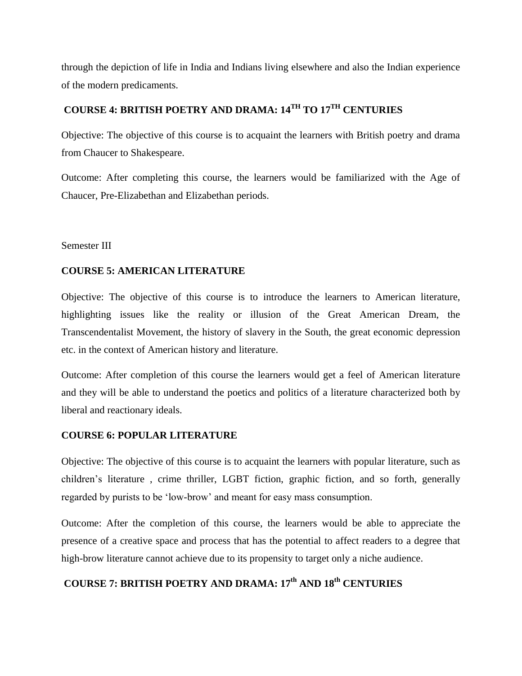through the depiction of life in India and Indians living elsewhere and also the Indian experience of the modern predicaments.

# **COURSE 4: BRITISH POETRY AND DRAMA: 14TH TO 17TH CENTURIES**

Objective: The objective of this course is to acquaint the learners with British poetry and drama from Chaucer to Shakespeare.

Outcome: After completing this course, the learners would be familiarized with the Age of Chaucer, Pre-Elizabethan and Elizabethan periods.

Semester III

### **COURSE 5: AMERICAN LITERATURE**

Objective: The objective of this course is to introduce the learners to American literature, highlighting issues like the reality or illusion of the Great American Dream, the Transcendentalist Movement, the history of slavery in the South, the great economic depression etc. in the context of American history and literature.

Outcome: After completion of this course the learners would get a feel of American literature and they will be able to understand the poetics and politics of a literature characterized both by liberal and reactionary ideals.

### **COURSE 6: POPULAR LITERATURE**

Objective: The objective of this course is to acquaint the learners with popular literature, such as children"s literature , crime thriller, LGBT fiction, graphic fiction, and so forth, generally regarded by purists to be "low-brow" and meant for easy mass consumption.

Outcome: After the completion of this course, the learners would be able to appreciate the presence of a creative space and process that has the potential to affect readers to a degree that high-brow literature cannot achieve due to its propensity to target only a niche audience.

# **COURSE 7: BRITISH POETRY AND DRAMA: 17th AND 18th CENTURIES**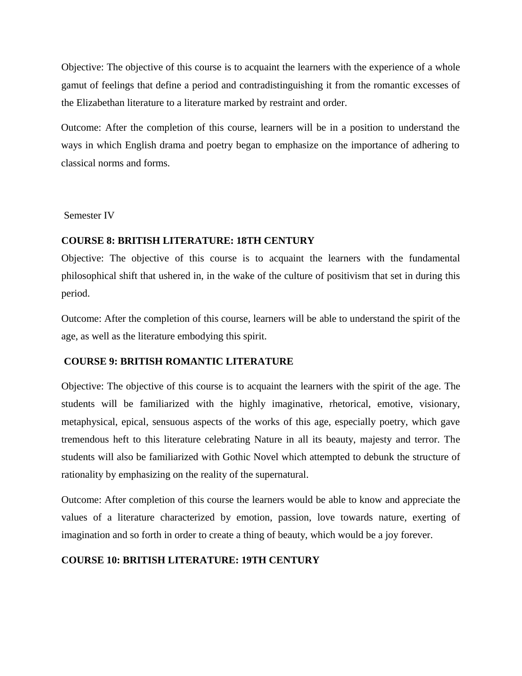Objective: The objective of this course is to acquaint the learners with the experience of a whole gamut of feelings that define a period and contradistinguishing it from the romantic excesses of the Elizabethan literature to a literature marked by restraint and order.

Outcome: After the completion of this course, learners will be in a position to understand the ways in which English drama and poetry began to emphasize on the importance of adhering to classical norms and forms.

Semester IV

### **COURSE 8: BRITISH LITERATURE: 18TH CENTURY**

Objective: The objective of this course is to acquaint the learners with the fundamental philosophical shift that ushered in, in the wake of the culture of positivism that set in during this period.

Outcome: After the completion of this course, learners will be able to understand the spirit of the age, as well as the literature embodying this spirit.

### **COURSE 9: BRITISH ROMANTIC LITERATURE**

Objective: The objective of this course is to acquaint the learners with the spirit of the age. The students will be familiarized with the highly imaginative, rhetorical, emotive, visionary, metaphysical, epical, sensuous aspects of the works of this age, especially poetry, which gave tremendous heft to this literature celebrating Nature in all its beauty, majesty and terror. The students will also be familiarized with Gothic Novel which attempted to debunk the structure of rationality by emphasizing on the reality of the supernatural.

Outcome: After completion of this course the learners would be able to know and appreciate the values of a literature characterized by emotion, passion, love towards nature, exerting of imagination and so forth in order to create a thing of beauty, which would be a joy forever.

### **COURSE 10: BRITISH LITERATURE: 19TH CENTURY**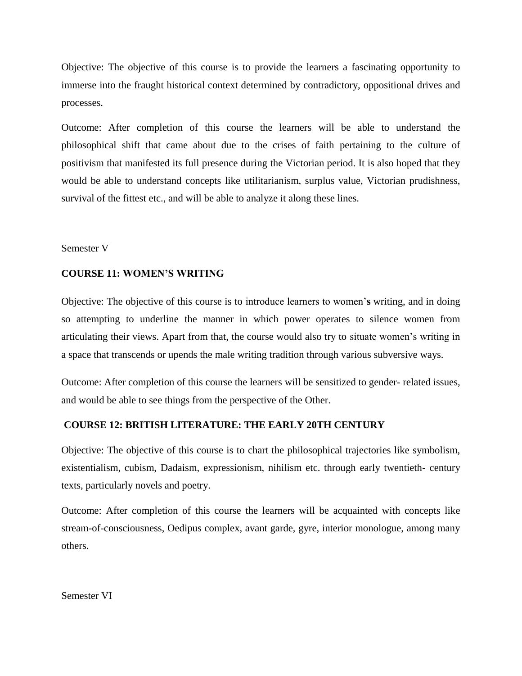Objective: The objective of this course is to provide the learners a fascinating opportunity to immerse into the fraught historical context determined by contradictory, oppositional drives and processes.

Outcome: After completion of this course the learners will be able to understand the philosophical shift that came about due to the crises of faith pertaining to the culture of positivism that manifested its full presence during the Victorian period. It is also hoped that they would be able to understand concepts like utilitarianism, surplus value, Victorian prudishness, survival of the fittest etc., and will be able to analyze it along these lines.

#### Semester V

### **COURSE 11: WOMEN'S WRITING**

Objective: The objective of this course is to introduce learners to women"**s** writing, and in doing so attempting to underline the manner in which power operates to silence women from articulating their views. Apart from that, the course would also try to situate women"s writing in a space that transcends or upends the male writing tradition through various subversive ways.

Outcome: After completion of this course the learners will be sensitized to gender- related issues, and would be able to see things from the perspective of the Other.

### **COURSE 12: BRITISH LITERATURE: THE EARLY 20TH CENTURY**

Objective: The objective of this course is to chart the philosophical trajectories like symbolism, existentialism, cubism, Dadaism, expressionism, nihilism etc. through early twentieth- century texts, particularly novels and poetry.

Outcome: After completion of this course the learners will be acquainted with concepts like stream-of-consciousness, Oedipus complex, avant garde, gyre, interior monologue, among many others.

Semester VI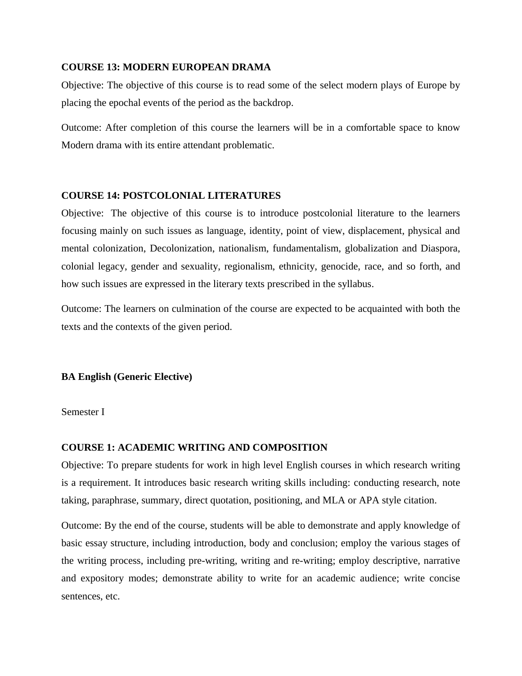#### **COURSE 13: MODERN EUROPEAN DRAMA**

Objective: The objective of this course is to read some of the select modern plays of Europe by placing the epochal events of the period as the backdrop.

Outcome: After completion of this course the learners will be in a comfortable space to know Modern drama with its entire attendant problematic.

#### **COURSE 14: POSTCOLONIAL LITERATURES**

Objective: The objective of this course is to introduce postcolonial literature to the learners focusing mainly on such issues as language, identity, point of view, displacement, physical and mental colonization, Decolonization, nationalism, fundamentalism, globalization and Diaspora, colonial legacy, gender and sexuality, regionalism, ethnicity, genocide, race, and so forth, and how such issues are expressed in the literary texts prescribed in the syllabus.

Outcome: The learners on culmination of the course are expected to be acquainted with both the texts and the contexts of the given period.

#### **BA English (Generic Elective)**

Semester I

### **COURSE 1: ACADEMIC WRITING AND COMPOSITION**

Objective: To prepare students for work in high level English courses in which research writing is a requirement. It introduces basic research writing skills including: conducting research, note taking, paraphrase, summary, direct quotation, positioning, and MLA or APA style citation.

Outcome: By the end of the course, students will be able to demonstrate and apply knowledge of basic essay structure, including introduction, body and conclusion; employ the various stages of the writing process, including pre-writing, writing and re-writing; employ descriptive, narrative and expository modes; demonstrate ability to write for an academic audience; write concise sentences, etc.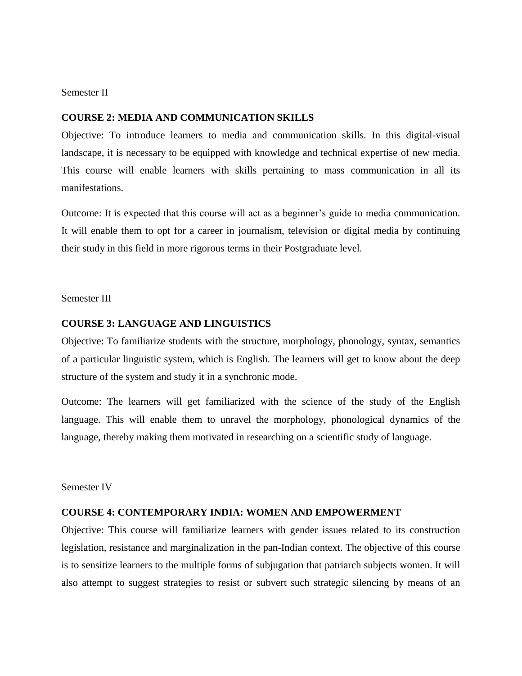#### Semester II

#### **COURSE 2: MEDIA AND COMMUNICATION SKILLS**

Objective: To introduce learners to media and communication skills. In this digital-visual landscape, it is necessary to be equipped with knowledge and technical expertise of new media. This course will enable learners with skills pertaining to mass communication in all its manifestations.

Outcome: It is expected that this course will act as a beginner"s guide to media communication. It will enable them to opt for a career in journalism, television or digital media by continuing their study in this field in more rigorous terms in their Postgraduate level.

Semester III

#### **COURSE 3: LANGUAGE AND LINGUISTICS**

Objective: To familiarize students with the structure, morphology, phonology, syntax, semantics of a particular linguistic system, which is English. The learners will get to know about the deep structure of the system and study it in a synchronic mode.

Outcome: The learners will get familiarized with the science of the study of the English language. This will enable them to unravel the morphology, phonological dynamics of the language, thereby making them motivated in researching on a scientific study of language.

#### Semester IV

#### **COURSE 4: CONTEMPORARY INDIA: WOMEN AND EMPOWERMENT**

Objective: This course will familiarize learners with gender issues related to its construction legislation, resistance and marginalization in the pan-Indian context. The objective of this course is to sensitize learners to the multiple forms of subjugation that patriarch subjects women. It will also attempt to suggest strategies to resist or subvert such strategic silencing by means of an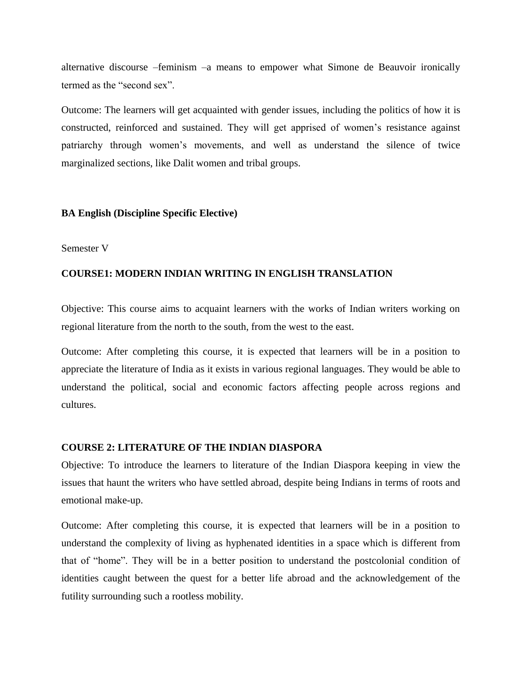alternative discourse –feminism –a means to empower what Simone de Beauvoir ironically termed as the "second sex".

Outcome: The learners will get acquainted with gender issues, including the politics of how it is constructed, reinforced and sustained. They will get apprised of women"s resistance against patriarchy through women"s movements, and well as understand the silence of twice marginalized sections, like Dalit women and tribal groups.

### **BA English (Discipline Specific Elective)**

#### Semester V

#### **COURSE1: MODERN INDIAN WRITING IN ENGLISH TRANSLATION**

Objective: This course aims to acquaint learners with the works of Indian writers working on regional literature from the north to the south, from the west to the east.

Outcome: After completing this course, it is expected that learners will be in a position to appreciate the literature of India as it exists in various regional languages. They would be able to understand the political, social and economic factors affecting people across regions and cultures.

#### **COURSE 2: LITERATURE OF THE INDIAN DIASPORA**

Objective: To introduce the learners to literature of the Indian Diaspora keeping in view the issues that haunt the writers who have settled abroad, despite being Indians in terms of roots and emotional make-up.

Outcome: After completing this course, it is expected that learners will be in a position to understand the complexity of living as hyphenated identities in a space which is different from that of "home". They will be in a better position to understand the postcolonial condition of identities caught between the quest for a better life abroad and the acknowledgement of the futility surrounding such a rootless mobility.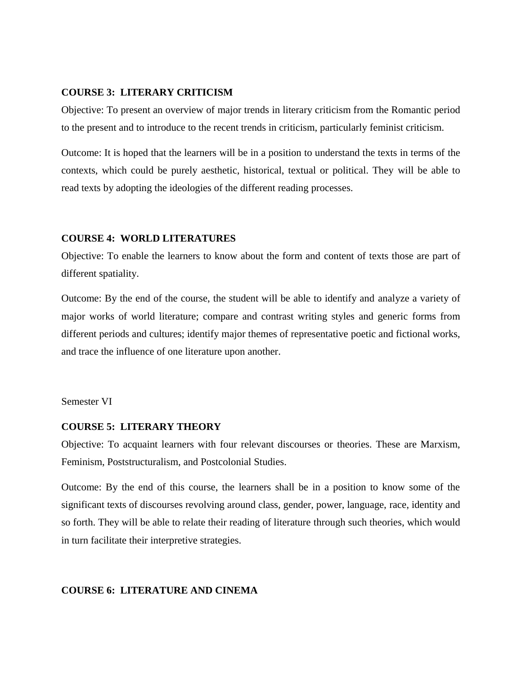#### **COURSE 3: LITERARY CRITICISM**

Objective: To present an overview of major trends in literary criticism from the Romantic period to the present and to introduce to the recent trends in criticism, particularly feminist criticism.

Outcome: It is hoped that the learners will be in a position to understand the texts in terms of the contexts, which could be purely aesthetic, historical, textual or political. They will be able to read texts by adopting the ideologies of the different reading processes.

#### **COURSE 4: WORLD LITERATURES**

Objective: To enable the learners to know about the form and content of texts those are part of different spatiality.

Outcome: By the end of the course, the student will be able to identify and analyze a variety of major works of world literature; compare and contrast writing styles and generic forms from different periods and cultures; identify major themes of representative poetic and fictional works, and trace the influence of one literature upon another.

Semester VI

#### **COURSE 5: LITERARY THEORY**

Objective: To acquaint learners with four relevant discourses or theories. These are Marxism, Feminism, Poststructuralism, and Postcolonial Studies.

Outcome: By the end of this course, the learners shall be in a position to know some of the significant texts of discourses revolving around class, gender, power, language, race, identity and so forth. They will be able to relate their reading of literature through such theories, which would in turn facilitate their interpretive strategies.

### **COURSE 6: LITERATURE AND CINEMA**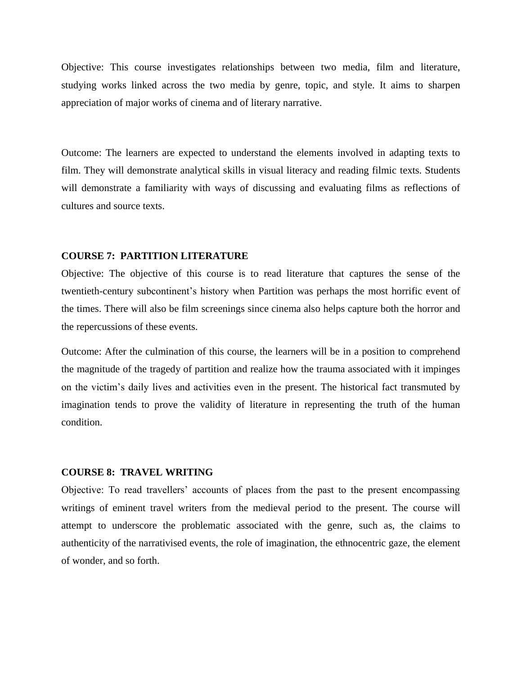Objective: This course investigates relationships between two media, film and literature, studying works linked across the two media by genre, topic, and style. It aims to sharpen appreciation of major works of cinema and of literary narrative.

Outcome: The learners are expected to understand the elements involved in adapting texts to film. They will demonstrate analytical skills in visual literacy and reading filmic texts. Students will demonstrate a familiarity with ways of discussing and evaluating films as reflections of cultures and source texts.

#### **COURSE 7: PARTITION LITERATURE**

Objective: The objective of this course is to read literature that captures the sense of the twentieth-century subcontinent"s history when Partition was perhaps the most horrific event of the times. There will also be film screenings since cinema also helps capture both the horror and the repercussions of these events.

Outcome: After the culmination of this course, the learners will be in a position to comprehend the magnitude of the tragedy of partition and realize how the trauma associated with it impinges on the victim"s daily lives and activities even in the present. The historical fact transmuted by imagination tends to prove the validity of literature in representing the truth of the human condition.

#### **COURSE 8: TRAVEL WRITING**

Objective: To read travellers" accounts of places from the past to the present encompassing writings of eminent travel writers from the medieval period to the present. The course will attempt to underscore the problematic associated with the genre, such as, the claims to authenticity of the narrativised events, the role of imagination, the ethnocentric gaze, the element of wonder, and so forth.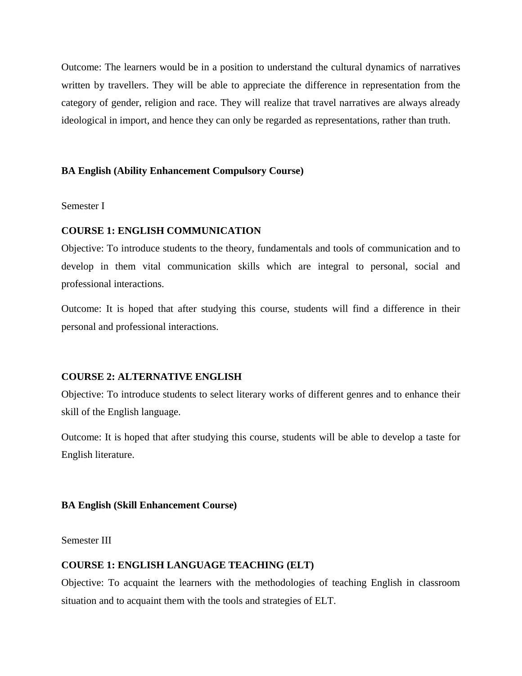Outcome: The learners would be in a position to understand the cultural dynamics of narratives written by travellers. They will be able to appreciate the difference in representation from the category of gender, religion and race. They will realize that travel narratives are always already ideological in import, and hence they can only be regarded as representations, rather than truth.

### **BA English (Ability Enhancement Compulsory Course)**

Semester I

#### **COURSE 1: ENGLISH COMMUNICATION**

Objective: To introduce students to the theory, fundamentals and tools of communication and to develop in them vital communication skills which are integral to personal, social and professional interactions.

Outcome: It is hoped that after studying this course, students will find a difference in their personal and professional interactions.

### **COURSE 2: ALTERNATIVE ENGLISH**

Objective: To introduce students to select literary works of different genres and to enhance their skill of the English language.

Outcome: It is hoped that after studying this course, students will be able to develop a taste for English literature.

### **BA English (Skill Enhancement Course)**

Semester III

### **COURSE 1: ENGLISH LANGUAGE TEACHING (ELT)**

Objective: To acquaint the learners with the methodologies of teaching English in classroom situation and to acquaint them with the tools and strategies of ELT.